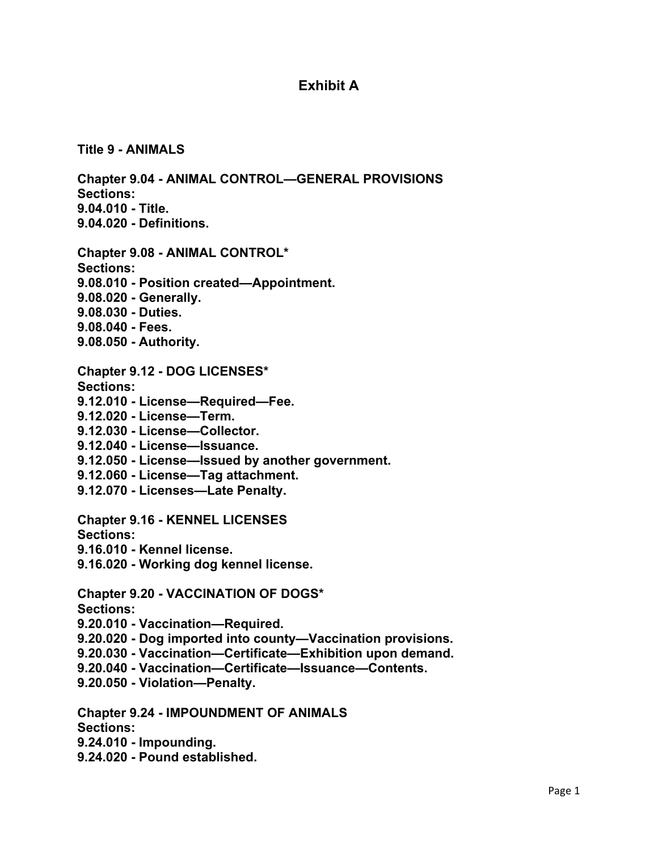## **Exhibit A**

**Title 9 - ANIMALS** 

**Chapter 9.04 - ANIMAL CONTROL—GENERAL PROVISIONS Sections: 9.04.010 - Title. 9.04.020 - Definitions.** 

- **Chapter 9.08 ANIMAL CONTROL\* Sections: 9.08.010 - Position created—Appointment. 9.08.020 - Generally. 9.08.030 - Duties. 9.08.040 - Fees.**
- **9.08.050 Authority.**
- **Chapter 9.12 DOG LICENSES\***
- **Sections:**
- **9.12.010 License—Required—Fee.**
- **9.12.020 License—Term.**
- **9.12.030 License—Collector.**
- **9.12.040 License—Issuance.**
- **9.12.050 License—Issued by another government.**
- **9.12.060 License—Tag attachment.**
- **9.12.070 Licenses—Late Penalty.**
- **Chapter 9.16 KENNEL LICENSES**

**Sections:** 

- **9.16.010 Kennel license.**
- **9.16.020 Working dog kennel license.**

**Chapter 9.20 - VACCINATION OF DOGS\*** 

**Sections:** 

- **9.20.010 Vaccination—Required.**
- **9.20.020 Dog imported into county—Vaccination provisions.**
- **9.20.030 Vaccination—Certificate—Exhibition upon demand.**
- **9.20.040 Vaccination—Certificate—Issuance—Contents.**
- **9.20.050 Violation—Penalty.**

**Chapter 9.24 - IMPOUNDMENT OF ANIMALS** 

**Sections:** 

- **9.24.010 Impounding.**
- **9.24.020 Pound established.**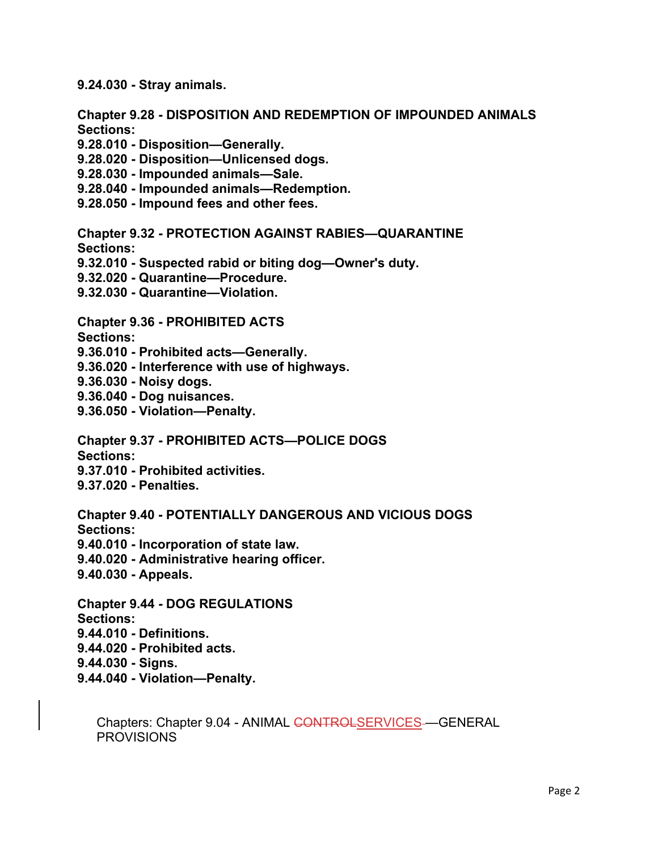**9.24.030 - Stray animals.** 

**Chapter 9.28 - DISPOSITION AND REDEMPTION OF IMPOUNDED ANIMALS Sections:** 

- **9.28.010 Disposition—Generally.**
- **9.28.020 Disposition—Unlicensed dogs.**
- **9.28.030 Impounded animals—Sale.**
- **9.28.040 Impounded animals—Redemption.**
- **9.28.050 Impound fees and other fees.**

**Chapter 9.32 - PROTECTION AGAINST RABIES—QUARANTINE** 

**Sections:** 

- **9.32.010 Suspected rabid or biting dog—Owner's duty.**
- **9.32.020 Quarantine—Procedure.**
- **9.32.030 Quarantine—Violation.**

**Chapter 9.36 - PROHIBITED ACTS** 

- **Sections:**
- **9.36.010 Prohibited acts—Generally.**
- **9.36.020 Interference with use of highways.**
- **9.36.030 Noisy dogs.**
- **9.36.040 Dog nuisances.**
- **9.36.050 Violation—Penalty.**

**Chapter 9.37 - PROHIBITED ACTS—POLICE DOGS** 

**Sections:** 

- **9.37.010 Prohibited activities.**
- **9.37.020 Penalties.**

**Chapter 9.40 - POTENTIALLY DANGEROUS AND VICIOUS DOGS Sections: 9.40.010 - Incorporation of state law. 9.40.020 - Administrative hearing officer. 9.40.030 - Appeals.** 

**Chapter 9.44 - DOG REGULATIONS Sections: 9.44.010 - Definitions. 9.44.020 - Prohibited acts. 9.44.030 - Signs.** 

**9.44.040 - Violation—Penalty.** 

Chapters: Chapter 9.04 - ANIMAL CONTROLSERVICES-GENERAL **PROVISIONS**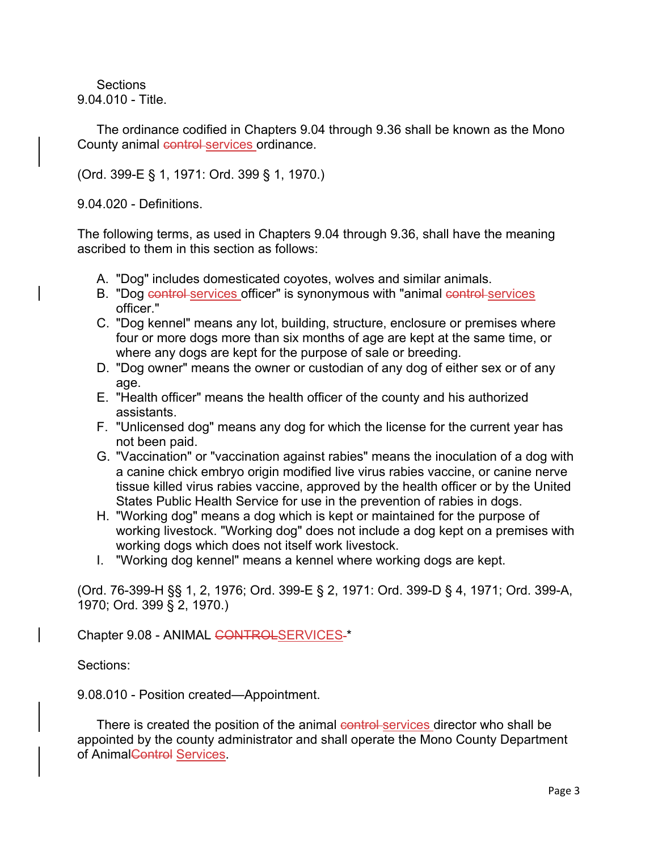**Sections** 9.04.010 - Title.

The ordinance codified in Chapters 9.04 through 9.36 shall be known as the Mono County animal control services ordinance.

(Ord. 399-E § 1, 1971: Ord. 399 § 1, 1970.)

9.04.020 - Definitions.

The following terms, as used in Chapters 9.04 through 9.36, shall have the meaning ascribed to them in this section as follows:

- A. "Dog" includes domesticated coyotes, wolves and similar animals.
- B. "Dog control services officer" is synonymous with "animal control services officer."
- C. "Dog kennel" means any lot, building, structure, enclosure or premises where four or more dogs more than six months of age are kept at the same time, or where any dogs are kept for the purpose of sale or breeding.
- D. "Dog owner" means the owner or custodian of any dog of either sex or of any age.
- E. "Health officer" means the health officer of the county and his authorized assistants.
- F. "Unlicensed dog" means any dog for which the license for the current year has not been paid.
- G. "Vaccination" or "vaccination against rabies" means the inoculation of a dog with a canine chick embryo origin modified live virus rabies vaccine, or canine nerve tissue killed virus rabies vaccine, approved by the health officer or by the United States Public Health Service for use in the prevention of rabies in dogs.
- H. "Working dog" means a dog which is kept or maintained for the purpose of working livestock. "Working dog" does not include a dog kept on a premises with working dogs which does not itself work livestock.
- I. "Working dog kennel" means a kennel where working dogs are kept.

(Ord. 76-399-H §§ 1, 2, 1976; Ord. 399-E § 2, 1971: Ord. 399-D § 4, 1971; Ord. 399-A, 1970; Ord. 399 § 2, 1970.)

Chapter 9.08 - ANIMAL CONTROLSERVICES-\*

Sections:

9.08.010 - Position created—Appointment.

There is created the position of the animal control services director who shall be appointed by the county administrator and shall operate the Mono County Department of AnimalControl Services.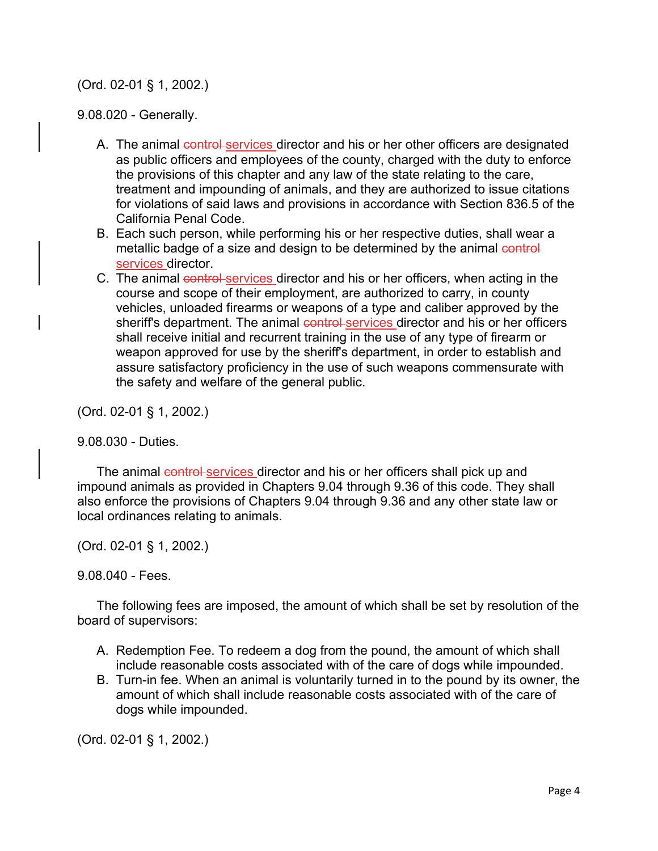(Ord. 02-01 § 1, 2002.)

9.08.020 - Generally.

- A. The animal control services director and his or her other officers are designated as public officers and employees of the county, charged with the duty to enforce the provisions of this chapter and any law of the state relating to the care, treatment and impounding of animals, and they are authorized to issue citations for violations of said laws and provisions in accordance with Section 836.5 of the California Penal Code.
- B. Each such person, while performing his or her respective duties, shall wear a metallic badge of a size and design to be determined by the animal control services director.
- C. The animal control services director and his or her officers, when acting in the course and scope of their employment, are authorized to carry, in county vehicles, unloaded firearms or weapons of a type and caliber approved by the sheriff's department. The animal control services director and his or her officers shall receive initial and recurrent training in the use of any type of firearm or weapon approved for use by the sheriff's department, in order to establish and assure satisfactory proficiency in the use of such weapons commensurate with the safety and welfare of the general public.

(Ord. 02-01 § 1, 2002.)

9.08.030 - Duties.

The animal control services director and his or her officers shall pick up and impound animals as provided in Chapters 9.04 through 9.36 of this code. They shall also enforce the provisions of Chapters 9.04 through 9.36 and any other state law or local ordinances relating to animals.

(Ord. 02-01 § 1, 2002.)

9.08.040 - Fees.

The following fees are imposed, the amount of which shall be set by resolution of the board of supervisors:

- A. Redemption Fee. To redeem a dog from the pound, the amount of which shall include reasonable costs associated with of the care of dogs while impounded.
- B. Turn-in fee. When an animal is voluntarily turned in to the pound by its owner, the amount of which shall include reasonable costs associated with of the care of dogs while impounded.

(Ord. 02-01 § 1, 2002.)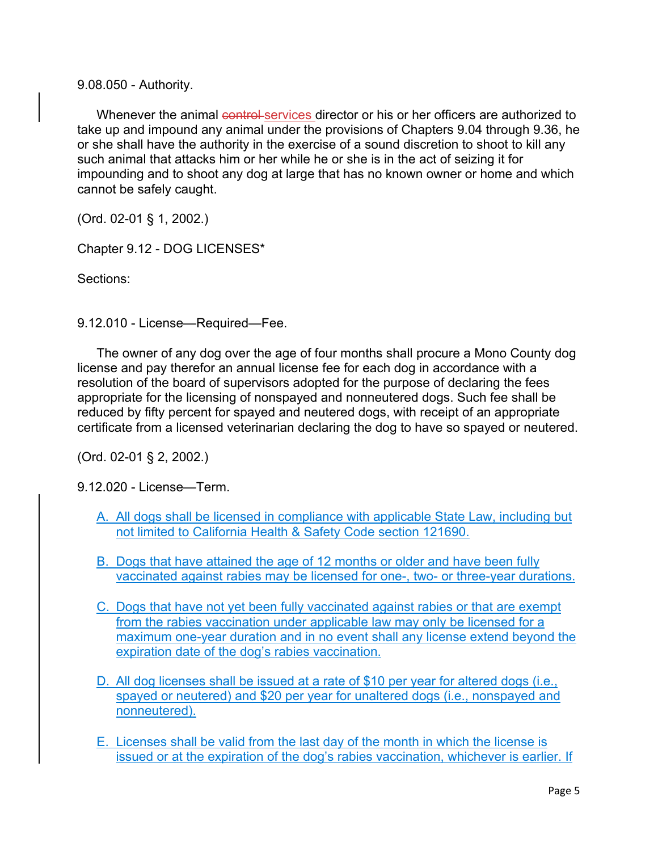9.08.050 - Authority.

Whenever the animal control services director or his or her officers are authorized to take up and impound any animal under the provisions of Chapters 9.04 through 9.36, he or she shall have the authority in the exercise of a sound discretion to shoot to kill any such animal that attacks him or her while he or she is in the act of seizing it for impounding and to shoot any dog at large that has no known owner or home and which cannot be safely caught.

(Ord. 02-01 § 1, 2002.)

Chapter 9.12 - DOG LICENSES\*

Sections:

9.12.010 - License—Required—Fee.

The owner of any dog over the age of four months shall procure a Mono County dog license and pay therefor an annual license fee for each dog in accordance with a resolution of the board of supervisors adopted for the purpose of declaring the fees appropriate for the licensing of nonspayed and nonneutered dogs. Such fee shall be reduced by fifty percent for spayed and neutered dogs, with receipt of an appropriate certificate from a licensed veterinarian declaring the dog to have so spayed or neutered.

(Ord. 02-01 § 2, 2002.)

9.12.020 - License—Term.

- A. All dogs shall be licensed in compliance with applicable State Law, including but not limited to California Health & Safety Code section 121690.
- B. Dogs that have attained the age of 12 months or older and have been fully vaccinated against rabies may be licensed for one-, two- or three-year durations.
- C. Dogs that have not yet been fully vaccinated against rabies or that are exempt from the rabies vaccination under applicable law may only be licensed for a maximum one-year duration and in no event shall any license extend beyond the expiration date of the dog's rabies vaccination.
- D. All dog licenses shall be issued at a rate of \$10 per year for altered dogs (i.e., spayed or neutered) and \$20 per year for unaltered dogs (i.e., nonspayed and nonneutered).
- E. Licenses shall be valid from the last day of the month in which the license is issued or at the expiration of the dog's rabies vaccination, whichever is earlier. If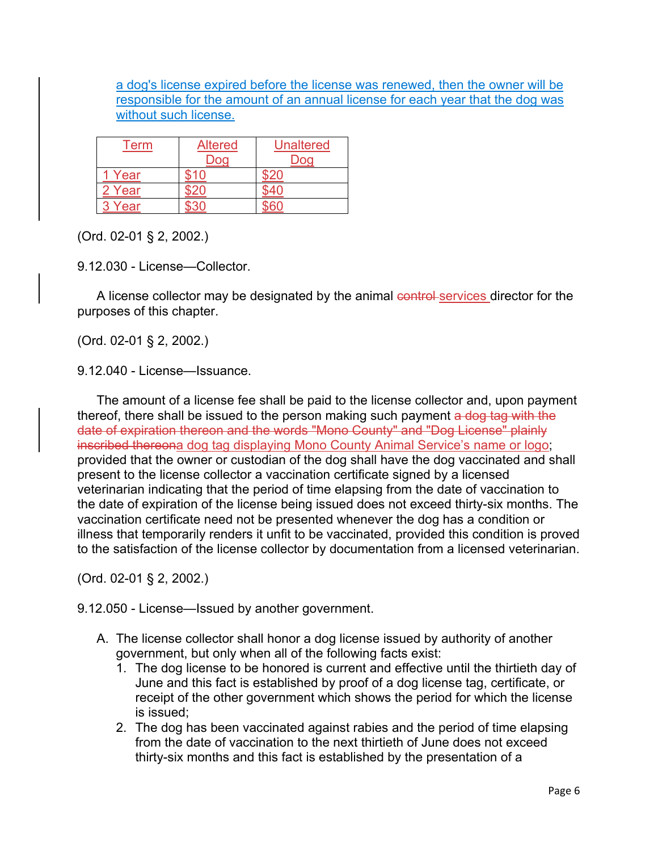a dog's license expired before the license was renewed, then the owner will be responsible for the amount of an annual license for each year that the dog was without such license.

| Term   | <b>Altered</b><br>Dog | <b>Unaltered</b><br>Dog |
|--------|-----------------------|-------------------------|
| 1 Year | ደ1በ                   |                         |
| 2 Year |                       |                         |
| Year   |                       |                         |

(Ord. 02-01 § 2, 2002.)

9.12.030 - License—Collector.

A license collector may be designated by the animal control services director for the purposes of this chapter.

(Ord. 02-01 § 2, 2002.)

9.12.040 - License—Issuance.

The amount of a license fee shall be paid to the license collector and, upon payment thereof, there shall be issued to the person making such payment a dog tag with the date of expiration thereon and the words "Mono County" and "Dog License" plainly inscribed thereona dog tag displaying Mono County Animal Service's name or logo; provided that the owner or custodian of the dog shall have the dog vaccinated and shall present to the license collector a vaccination certificate signed by a licensed veterinarian indicating that the period of time elapsing from the date of vaccination to the date of expiration of the license being issued does not exceed thirty-six months. The vaccination certificate need not be presented whenever the dog has a condition or illness that temporarily renders it unfit to be vaccinated, provided this condition is proved to the satisfaction of the license collector by documentation from a licensed veterinarian.

(Ord. 02-01 § 2, 2002.)

9.12.050 - License—Issued by another government.

- A. The license collector shall honor a dog license issued by authority of another government, but only when all of the following facts exist:
	- 1. The dog license to be honored is current and effective until the thirtieth day of June and this fact is established by proof of a dog license tag, certificate, or receipt of the other government which shows the period for which the license is issued;
	- 2. The dog has been vaccinated against rabies and the period of time elapsing from the date of vaccination to the next thirtieth of June does not exceed thirty-six months and this fact is established by the presentation of a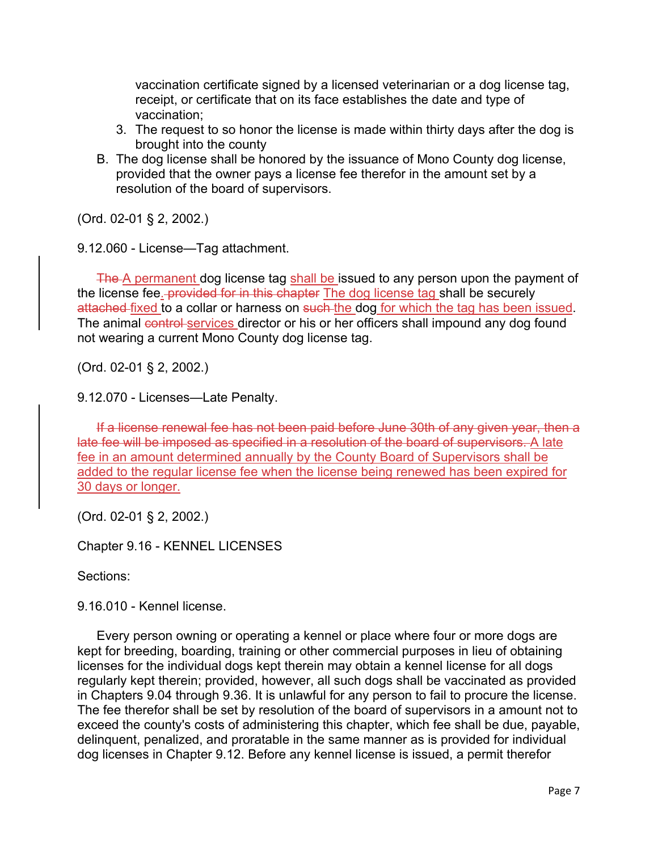vaccination certificate signed by a licensed veterinarian or a dog license tag, receipt, or certificate that on its face establishes the date and type of vaccination;

- 3. The request to so honor the license is made within thirty days after the dog is brought into the county
- B. The dog license shall be honored by the issuance of Mono County dog license, provided that the owner pays a license fee therefor in the amount set by a resolution of the board of supervisors.

(Ord. 02-01 § 2, 2002.)

9.12.060 - License—Tag attachment.

The A permanent dog license tag shall be issued to any person upon the payment of the license fee. provided for in this chapter The dog license tag shall be securely attached fixed to a collar or harness on such the dog for which the tag has been issued. The animal control services director or his or her officers shall impound any dog found not wearing a current Mono County dog license tag.

(Ord. 02-01 § 2, 2002.)

9.12.070 - Licenses—Late Penalty.

If a license renewal fee has not been paid before June 30th of any given year, then a late fee will be imposed as specified in a resolution of the board of supervisors. A late fee in an amount determined annually by the County Board of Supervisors shall be added to the regular license fee when the license being renewed has been expired for 30 days or longer.

(Ord. 02-01 § 2, 2002.)

Chapter 9.16 - KENNEL LICENSES

Sections:

9.16.010 - Kennel license.

Every person owning or operating a kennel or place where four or more dogs are kept for breeding, boarding, training or other commercial purposes in lieu of obtaining licenses for the individual dogs kept therein may obtain a kennel license for all dogs regularly kept therein; provided, however, all such dogs shall be vaccinated as provided in Chapters 9.04 through 9.36. It is unlawful for any person to fail to procure the license. The fee therefor shall be set by resolution of the board of supervisors in a amount not to exceed the county's costs of administering this chapter, which fee shall be due, payable, delinquent, penalized, and proratable in the same manner as is provided for individual dog licenses in Chapter 9.12. Before any kennel license is issued, a permit therefor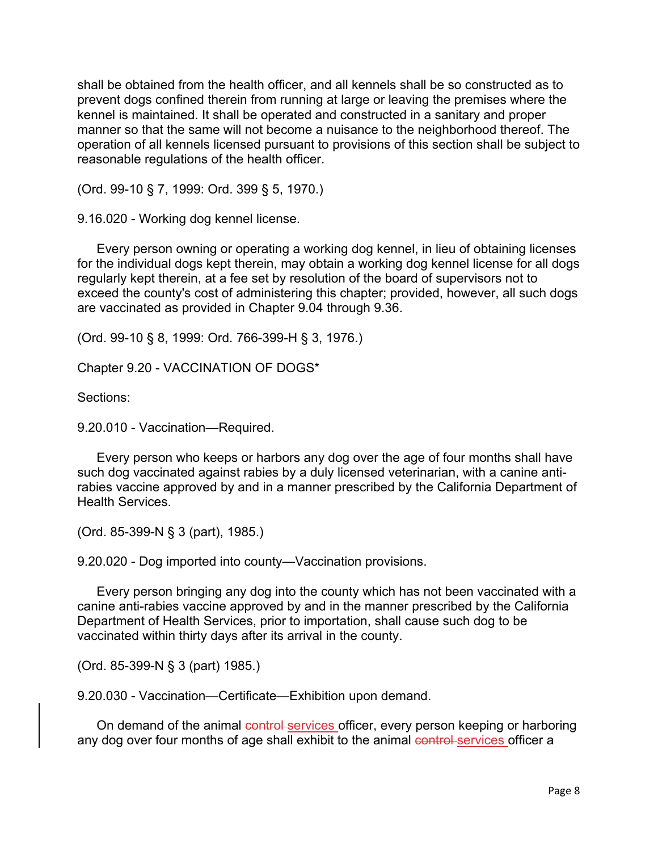shall be obtained from the health officer, and all kennels shall be so constructed as to prevent dogs confined therein from running at large or leaving the premises where the kennel is maintained. It shall be operated and constructed in a sanitary and proper manner so that the same will not become a nuisance to the neighborhood thereof. The operation of all kennels licensed pursuant to provisions of this section shall be subject to reasonable regulations of the health officer.

(Ord. 99-10 § 7, 1999: Ord. 399 § 5, 1970.)

9.16.020 - Working dog kennel license.

Every person owning or operating a working dog kennel, in lieu of obtaining licenses for the individual dogs kept therein, may obtain a working dog kennel license for all dogs regularly kept therein, at a fee set by resolution of the board of supervisors not to exceed the county's cost of administering this chapter; provided, however, all such dogs are vaccinated as provided in Chapter 9.04 through 9.36.

(Ord. 99-10 § 8, 1999: Ord. 766-399-H § 3, 1976.)

Chapter 9.20 - VACCINATION OF DOGS\*

Sections:

9.20.010 - Vaccination—Required.

Every person who keeps or harbors any dog over the age of four months shall have such dog vaccinated against rabies by a duly licensed veterinarian, with a canine antirabies vaccine approved by and in a manner prescribed by the California Department of Health Services.

(Ord. 85-399-N § 3 (part), 1985.)

9.20.020 - Dog imported into county—Vaccination provisions.

Every person bringing any dog into the county which has not been vaccinated with a canine anti-rabies vaccine approved by and in the manner prescribed by the California Department of Health Services, prior to importation, shall cause such dog to be vaccinated within thirty days after its arrival in the county.

(Ord. 85-399-N § 3 (part) 1985.)

9.20.030 - Vaccination—Certificate—Exhibition upon demand.

On demand of the animal control services officer, every person keeping or harboring any dog over four months of age shall exhibit to the animal control services officer a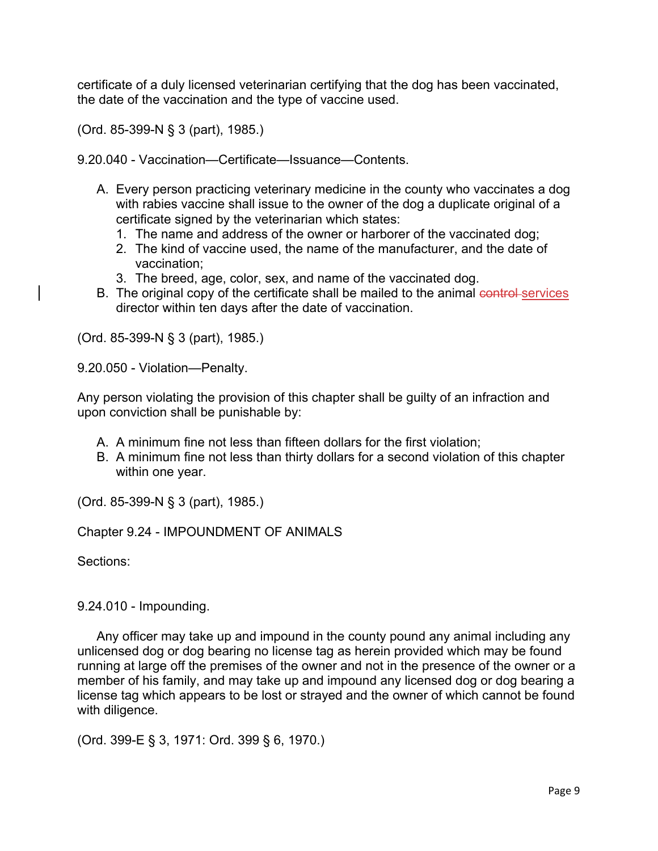certificate of a duly licensed veterinarian certifying that the dog has been vaccinated, the date of the vaccination and the type of vaccine used.

(Ord. 85-399-N § 3 (part), 1985.)

9.20.040 - Vaccination—Certificate—Issuance—Contents.

- A. Every person practicing veterinary medicine in the county who vaccinates a dog with rabies vaccine shall issue to the owner of the dog a duplicate original of a certificate signed by the veterinarian which states:
	- 1. The name and address of the owner or harborer of the vaccinated dog;
	- 2. The kind of vaccine used, the name of the manufacturer, and the date of vaccination;
	- 3. The breed, age, color, sex, and name of the vaccinated dog.
- B. The original copy of the certificate shall be mailed to the animal control services director within ten days after the date of vaccination.

(Ord. 85-399-N § 3 (part), 1985.)

9.20.050 - Violation—Penalty.

Any person violating the provision of this chapter shall be guilty of an infraction and upon conviction shall be punishable by:

- A. A minimum fine not less than fifteen dollars for the first violation;
- B. A minimum fine not less than thirty dollars for a second violation of this chapter within one year.

(Ord. 85-399-N § 3 (part), 1985.)

Chapter 9.24 - IMPOUNDMENT OF ANIMALS

Sections:

9.24.010 - Impounding.

Any officer may take up and impound in the county pound any animal including any unlicensed dog or dog bearing no license tag as herein provided which may be found running at large off the premises of the owner and not in the presence of the owner or a member of his family, and may take up and impound any licensed dog or dog bearing a license tag which appears to be lost or strayed and the owner of which cannot be found with diligence.

(Ord. 399-E § 3, 1971: Ord. 399 § 6, 1970.)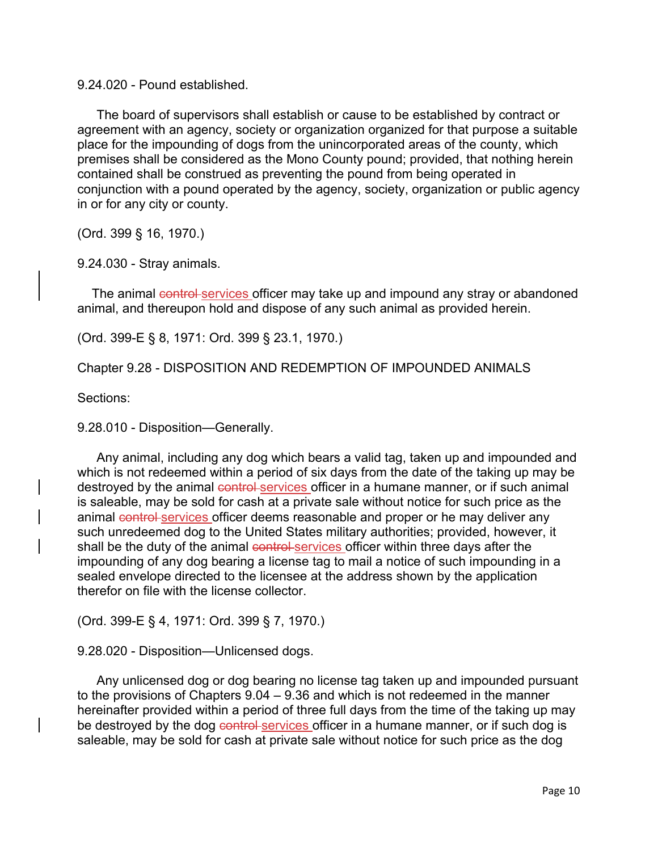9.24.020 - Pound established.

The board of supervisors shall establish or cause to be established by contract or agreement with an agency, society or organization organized for that purpose a suitable place for the impounding of dogs from the unincorporated areas of the county, which premises shall be considered as the Mono County pound; provided, that nothing herein contained shall be construed as preventing the pound from being operated in conjunction with a pound operated by the agency, society, organization or public agency in or for any city or county.

(Ord. 399 § 16, 1970.)

9.24.030 - Stray animals.

The animal control services officer may take up and impound any stray or abandoned animal, and thereupon hold and dispose of any such animal as provided herein.

(Ord. 399-E § 8, 1971: Ord. 399 § 23.1, 1970.)

Chapter 9.28 - DISPOSITION AND REDEMPTION OF IMPOUNDED ANIMALS

Sections:

9.28.010 - Disposition—Generally.

Any animal, including any dog which bears a valid tag, taken up and impounded and which is not redeemed within a period of six days from the date of the taking up may be destroyed by the animal control services officer in a humane manner, or if such animal is saleable, may be sold for cash at a private sale without notice for such price as the animal control services officer deems reasonable and proper or he may deliver any such unredeemed dog to the United States military authorities; provided, however, it shall be the duty of the animal control services officer within three days after the impounding of any dog bearing a license tag to mail a notice of such impounding in a sealed envelope directed to the licensee at the address shown by the application therefor on file with the license collector.

(Ord. 399-E § 4, 1971: Ord. 399 § 7, 1970.)

9.28.020 - Disposition—Unlicensed dogs.

Any unlicensed dog or dog bearing no license tag taken up and impounded pursuant to the provisions of Chapters 9.04 – 9.36 and which is not redeemed in the manner hereinafter provided within a period of three full days from the time of the taking up may be destroyed by the dog control services officer in a humane manner, or if such dog is saleable, may be sold for cash at private sale without notice for such price as the dog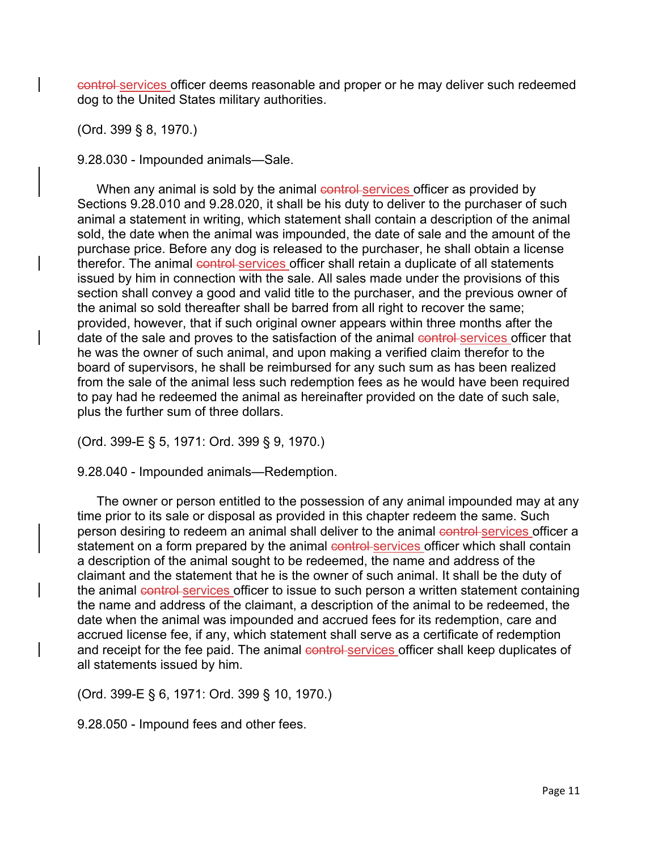control services officer deems reasonable and proper or he may deliver such redeemed dog to the United States military authorities.

(Ord. 399 § 8, 1970.)

9.28.030 - Impounded animals—Sale.

When any animal is sold by the animal control services officer as provided by Sections 9.28.010 and 9.28.020, it shall be his duty to deliver to the purchaser of such animal a statement in writing, which statement shall contain a description of the animal sold, the date when the animal was impounded, the date of sale and the amount of the purchase price. Before any dog is released to the purchaser, he shall obtain a license therefor. The animal control services officer shall retain a duplicate of all statements issued by him in connection with the sale. All sales made under the provisions of this section shall convey a good and valid title to the purchaser, and the previous owner of the animal so sold thereafter shall be barred from all right to recover the same; provided, however, that if such original owner appears within three months after the date of the sale and proves to the satisfaction of the animal control services officer that he was the owner of such animal, and upon making a verified claim therefor to the board of supervisors, he shall be reimbursed for any such sum as has been realized from the sale of the animal less such redemption fees as he would have been required to pay had he redeemed the animal as hereinafter provided on the date of such sale, plus the further sum of three dollars.

(Ord. 399-E § 5, 1971: Ord. 399 § 9, 1970.)

9.28.040 - Impounded animals—Redemption.

The owner or person entitled to the possession of any animal impounded may at any time prior to its sale or disposal as provided in this chapter redeem the same. Such person desiring to redeem an animal shall deliver to the animal control services officer a statement on a form prepared by the animal control services officer which shall contain a description of the animal sought to be redeemed, the name and address of the claimant and the statement that he is the owner of such animal. It shall be the duty of the animal control services officer to issue to such person a written statement containing the name and address of the claimant, a description of the animal to be redeemed, the date when the animal was impounded and accrued fees for its redemption, care and accrued license fee, if any, which statement shall serve as a certificate of redemption and receipt for the fee paid. The animal control services officer shall keep duplicates of all statements issued by him.

(Ord. 399-E § 6, 1971: Ord. 399 § 10, 1970.)

9.28.050 - Impound fees and other fees.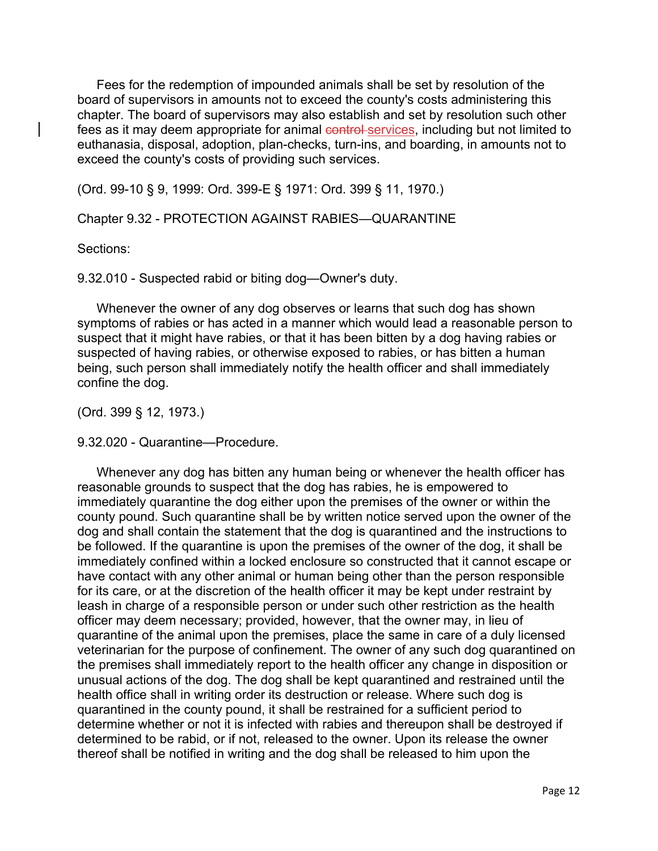Fees for the redemption of impounded animals shall be set by resolution of the board of supervisors in amounts not to exceed the county's costs administering this chapter. The board of supervisors may also establish and set by resolution such other fees as it may deem appropriate for animal control services, including but not limited to euthanasia, disposal, adoption, plan-checks, turn-ins, and boarding, in amounts not to exceed the county's costs of providing such services.

(Ord. 99-10 § 9, 1999: Ord. 399-E § 1971: Ord. 399 § 11, 1970.)

Chapter 9.32 - PROTECTION AGAINST RABIES—QUARANTINE

Sections:

9.32.010 - Suspected rabid or biting dog—Owner's duty.

Whenever the owner of any dog observes or learns that such dog has shown symptoms of rabies or has acted in a manner which would lead a reasonable person to suspect that it might have rabies, or that it has been bitten by a dog having rabies or suspected of having rabies, or otherwise exposed to rabies, or has bitten a human being, such person shall immediately notify the health officer and shall immediately confine the dog.

(Ord. 399 § 12, 1973.)

9.32.020 - Quarantine—Procedure.

Whenever any dog has bitten any human being or whenever the health officer has reasonable grounds to suspect that the dog has rabies, he is empowered to immediately quarantine the dog either upon the premises of the owner or within the county pound. Such quarantine shall be by written notice served upon the owner of the dog and shall contain the statement that the dog is quarantined and the instructions to be followed. If the quarantine is upon the premises of the owner of the dog, it shall be immediately confined within a locked enclosure so constructed that it cannot escape or have contact with any other animal or human being other than the person responsible for its care, or at the discretion of the health officer it may be kept under restraint by leash in charge of a responsible person or under such other restriction as the health officer may deem necessary; provided, however, that the owner may, in lieu of quarantine of the animal upon the premises, place the same in care of a duly licensed veterinarian for the purpose of confinement. The owner of any such dog quarantined on the premises shall immediately report to the health officer any change in disposition or unusual actions of the dog. The dog shall be kept quarantined and restrained until the health office shall in writing order its destruction or release. Where such dog is quarantined in the county pound, it shall be restrained for a sufficient period to determine whether or not it is infected with rabies and thereupon shall be destroyed if determined to be rabid, or if not, released to the owner. Upon its release the owner thereof shall be notified in writing and the dog shall be released to him upon the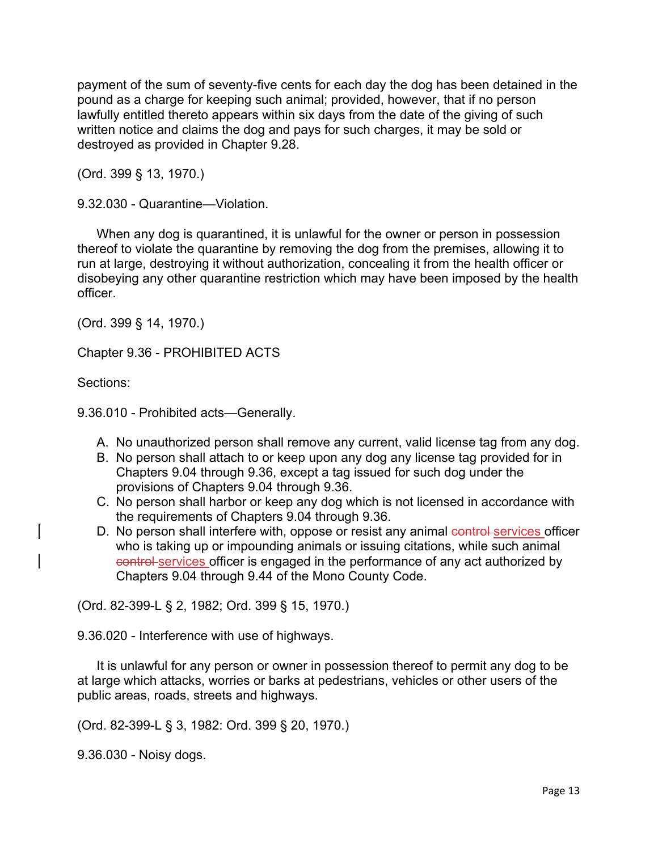payment of the sum of seventy-five cents for each day the dog has been detained in the pound as a charge for keeping such animal; provided, however, that if no person lawfully entitled thereto appears within six days from the date of the giving of such written notice and claims the dog and pays for such charges, it may be sold or destroyed as provided in Chapter 9.28.

(Ord. 399 § 13, 1970.)

9.32.030 - Quarantine—Violation.

When any dog is quarantined, it is unlawful for the owner or person in possession thereof to violate the quarantine by removing the dog from the premises, allowing it to run at large, destroying it without authorization, concealing it from the health officer or disobeying any other quarantine restriction which may have been imposed by the health officer.

(Ord. 399 § 14, 1970.)

Chapter 9.36 - PROHIBITED ACTS

Sections:

9.36.010 - Prohibited acts—Generally.

- A. No unauthorized person shall remove any current, valid license tag from any dog.
- B. No person shall attach to or keep upon any dog any license tag provided for in Chapters 9.04 through 9.36, except a tag issued for such dog under the provisions of Chapters 9.04 through 9.36.
- C. No person shall harbor or keep any dog which is not licensed in accordance with the requirements of Chapters 9.04 through 9.36.
- D. No person shall interfere with, oppose or resist any animal control services officer who is taking up or impounding animals or issuing citations, while such animal control services officer is engaged in the performance of any act authorized by Chapters 9.04 through 9.44 of the Mono County Code.

(Ord. 82-399-L § 2, 1982; Ord. 399 § 15, 1970.)

9.36.020 - Interference with use of highways.

It is unlawful for any person or owner in possession thereof to permit any dog to be at large which attacks, worries or barks at pedestrians, vehicles or other users of the public areas, roads, streets and highways.

(Ord. 82-399-L § 3, 1982: Ord. 399 § 20, 1970.)

9.36.030 - Noisy dogs.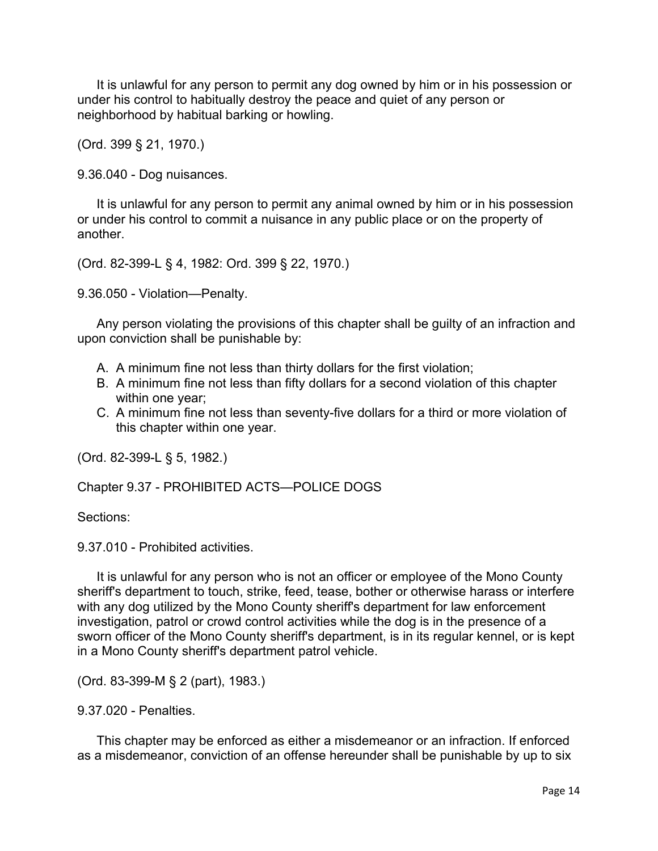It is unlawful for any person to permit any dog owned by him or in his possession or under his control to habitually destroy the peace and quiet of any person or neighborhood by habitual barking or howling.

(Ord. 399 § 21, 1970.)

9.36.040 - Dog nuisances.

It is unlawful for any person to permit any animal owned by him or in his possession or under his control to commit a nuisance in any public place or on the property of another.

(Ord. 82-399-L § 4, 1982: Ord. 399 § 22, 1970.)

9.36.050 - Violation—Penalty.

Any person violating the provisions of this chapter shall be guilty of an infraction and upon conviction shall be punishable by:

- A. A minimum fine not less than thirty dollars for the first violation;
- B. A minimum fine not less than fifty dollars for a second violation of this chapter within one year;
- C. A minimum fine not less than seventy-five dollars for a third or more violation of this chapter within one year.

(Ord. 82-399-L § 5, 1982.)

Chapter 9.37 - PROHIBITED ACTS—POLICE DOGS

Sections:

9.37.010 - Prohibited activities.

It is unlawful for any person who is not an officer or employee of the Mono County sheriff's department to touch, strike, feed, tease, bother or otherwise harass or interfere with any dog utilized by the Mono County sheriff's department for law enforcement investigation, patrol or crowd control activities while the dog is in the presence of a sworn officer of the Mono County sheriff's department, is in its regular kennel, or is kept in a Mono County sheriff's department patrol vehicle.

(Ord. 83-399-M § 2 (part), 1983.)

9.37.020 - Penalties.

This chapter may be enforced as either a misdemeanor or an infraction. If enforced as a misdemeanor, conviction of an offense hereunder shall be punishable by up to six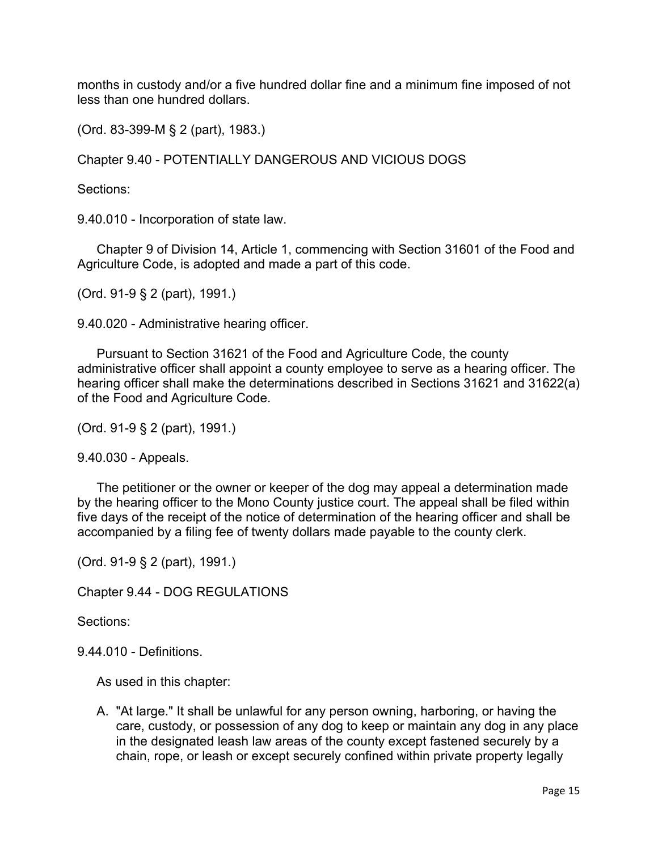months in custody and/or a five hundred dollar fine and a minimum fine imposed of not less than one hundred dollars.

(Ord. 83-399-M § 2 (part), 1983.)

Chapter 9.40 - POTENTIALLY DANGEROUS AND VICIOUS DOGS

Sections:

9.40.010 - Incorporation of state law.

Chapter 9 of Division 14, Article 1, commencing with Section 31601 of the Food and Agriculture Code, is adopted and made a part of this code.

(Ord. 91-9 § 2 (part), 1991.)

9.40.020 - Administrative hearing officer.

Pursuant to Section 31621 of the Food and Agriculture Code, the county administrative officer shall appoint a county employee to serve as a hearing officer. The hearing officer shall make the determinations described in Sections 31621 and 31622(a) of the Food and Agriculture Code.

(Ord. 91-9 § 2 (part), 1991.)

9.40.030 - Appeals.

The petitioner or the owner or keeper of the dog may appeal a determination made by the hearing officer to the Mono County justice court. The appeal shall be filed within five days of the receipt of the notice of determination of the hearing officer and shall be accompanied by a filing fee of twenty dollars made payable to the county clerk.

(Ord. 91-9 § 2 (part), 1991.)

Chapter 9.44 - DOG REGULATIONS

Sections:

9.44.010 - Definitions.

As used in this chapter:

A. "At large." It shall be unlawful for any person owning, harboring, or having the care, custody, or possession of any dog to keep or maintain any dog in any place in the designated leash law areas of the county except fastened securely by a chain, rope, or leash or except securely confined within private property legally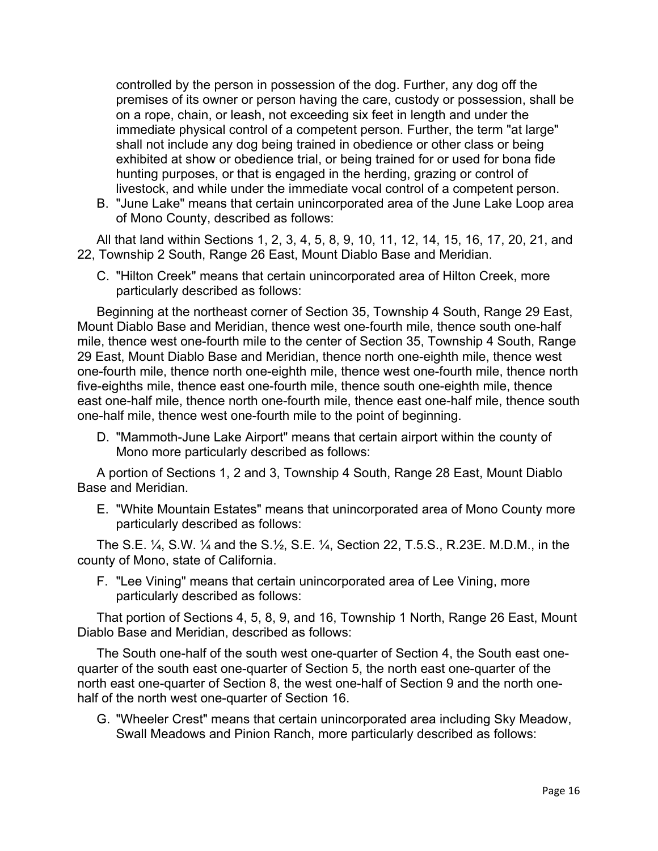controlled by the person in possession of the dog. Further, any dog off the premises of its owner or person having the care, custody or possession, shall be on a rope, chain, or leash, not exceeding six feet in length and under the immediate physical control of a competent person. Further, the term "at large" shall not include any dog being trained in obedience or other class or being exhibited at show or obedience trial, or being trained for or used for bona fide hunting purposes, or that is engaged in the herding, grazing or control of livestock, and while under the immediate vocal control of a competent person.

B. "June Lake" means that certain unincorporated area of the June Lake Loop area of Mono County, described as follows:

All that land within Sections 1, 2, 3, 4, 5, 8, 9, 10, 11, 12, 14, 15, 16, 17, 20, 21, and 22, Township 2 South, Range 26 East, Mount Diablo Base and Meridian.

C. "Hilton Creek" means that certain unincorporated area of Hilton Creek, more particularly described as follows:

Beginning at the northeast corner of Section 35, Township 4 South, Range 29 East, Mount Diablo Base and Meridian, thence west one-fourth mile, thence south one-half mile, thence west one-fourth mile to the center of Section 35, Township 4 South, Range 29 East, Mount Diablo Base and Meridian, thence north one-eighth mile, thence west one-fourth mile, thence north one-eighth mile, thence west one-fourth mile, thence north five-eighths mile, thence east one-fourth mile, thence south one-eighth mile, thence east one-half mile, thence north one-fourth mile, thence east one-half mile, thence south one-half mile, thence west one-fourth mile to the point of beginning.

D. "Mammoth-June Lake Airport" means that certain airport within the county of Mono more particularly described as follows:

A portion of Sections 1, 2 and 3, Township 4 South, Range 28 East, Mount Diablo Base and Meridian.

E. "White Mountain Estates" means that unincorporated area of Mono County more particularly described as follows:

The S.E. ¼, S.W. ¼ and the S.½, S.E. ¼, Section 22, T.5.S., R.23E. M.D.M., in the county of Mono, state of California.

F. "Lee Vining" means that certain unincorporated area of Lee Vining, more particularly described as follows:

That portion of Sections 4, 5, 8, 9, and 16, Township 1 North, Range 26 East, Mount Diablo Base and Meridian, described as follows:

The South one-half of the south west one-quarter of Section 4, the South east onequarter of the south east one-quarter of Section 5, the north east one-quarter of the north east one-quarter of Section 8, the west one-half of Section 9 and the north onehalf of the north west one-quarter of Section 16.

G. "Wheeler Crest" means that certain unincorporated area including Sky Meadow, Swall Meadows and Pinion Ranch, more particularly described as follows: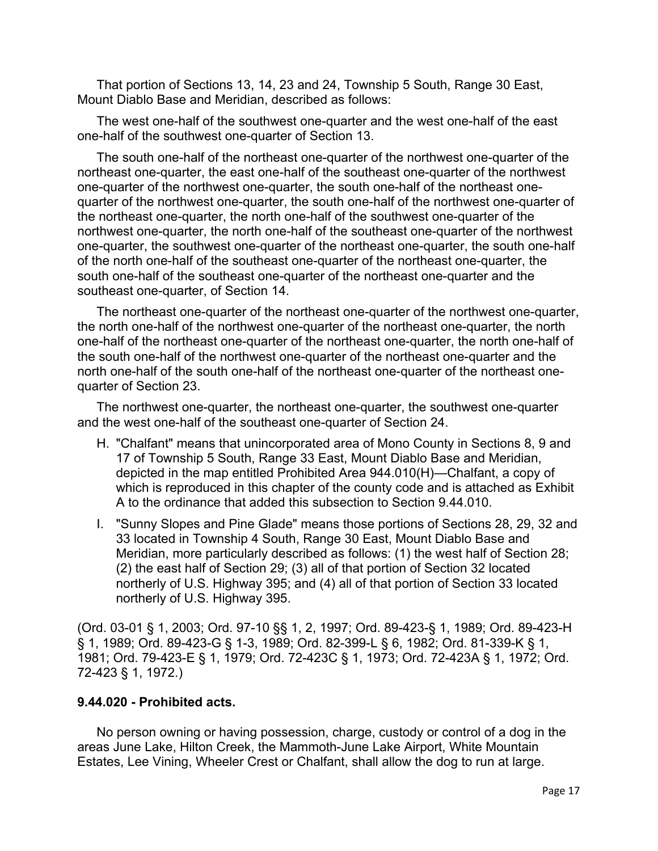That portion of Sections 13, 14, 23 and 24, Township 5 South, Range 30 East, Mount Diablo Base and Meridian, described as follows:

The west one-half of the southwest one-quarter and the west one-half of the east one-half of the southwest one-quarter of Section 13.

The south one-half of the northeast one-quarter of the northwest one-quarter of the northeast one-quarter, the east one-half of the southeast one-quarter of the northwest one-quarter of the northwest one-quarter, the south one-half of the northeast onequarter of the northwest one-quarter, the south one-half of the northwest one-quarter of the northeast one-quarter, the north one-half of the southwest one-quarter of the northwest one-quarter, the north one-half of the southeast one-quarter of the northwest one-quarter, the southwest one-quarter of the northeast one-quarter, the south one-half of the north one-half of the southeast one-quarter of the northeast one-quarter, the south one-half of the southeast one-quarter of the northeast one-quarter and the southeast one-quarter, of Section 14.

The northeast one-quarter of the northeast one-quarter of the northwest one-quarter, the north one-half of the northwest one-quarter of the northeast one-quarter, the north one-half of the northeast one-quarter of the northeast one-quarter, the north one-half of the south one-half of the northwest one-quarter of the northeast one-quarter and the north one-half of the south one-half of the northeast one-quarter of the northeast onequarter of Section 23.

The northwest one-quarter, the northeast one-quarter, the southwest one-quarter and the west one-half of the southeast one-quarter of Section 24.

- H. "Chalfant" means that unincorporated area of Mono County in Sections 8, 9 and 17 of Township 5 South, Range 33 East, Mount Diablo Base and Meridian, depicted in the map entitled Prohibited Area 944.010(H)—Chalfant, a copy of which is reproduced in this chapter of the county code and is attached as Exhibit A to the ordinance that added this subsection to Section 9.44.010.
- I. "Sunny Slopes and Pine Glade" means those portions of Sections 28, 29, 32 and 33 located in Township 4 South, Range 30 East, Mount Diablo Base and Meridian, more particularly described as follows: (1) the west half of Section 28; (2) the east half of Section 29; (3) all of that portion of Section 32 located northerly of U.S. Highway 395; and (4) all of that portion of Section 33 located northerly of U.S. Highway 395.

(Ord. 03-01 § 1, 2003; Ord. 97-10 §§ 1, 2, 1997; Ord. 89-423-§ 1, 1989; Ord. 89-423-H § 1, 1989; Ord. 89-423-G § 1-3, 1989; Ord. 82-399-L § 6, 1982; Ord. 81-339-K § 1, 1981; Ord. 79-423-E § 1, 1979; Ord. 72-423C § 1, 1973; Ord. 72-423A § 1, 1972; Ord. 72-423 § 1, 1972.)

## **9.44.020 - Prohibited acts.**

No person owning or having possession, charge, custody or control of a dog in the areas June Lake, Hilton Creek, the Mammoth-June Lake Airport, White Mountain Estates, Lee Vining, Wheeler Crest or Chalfant, shall allow the dog to run at large.